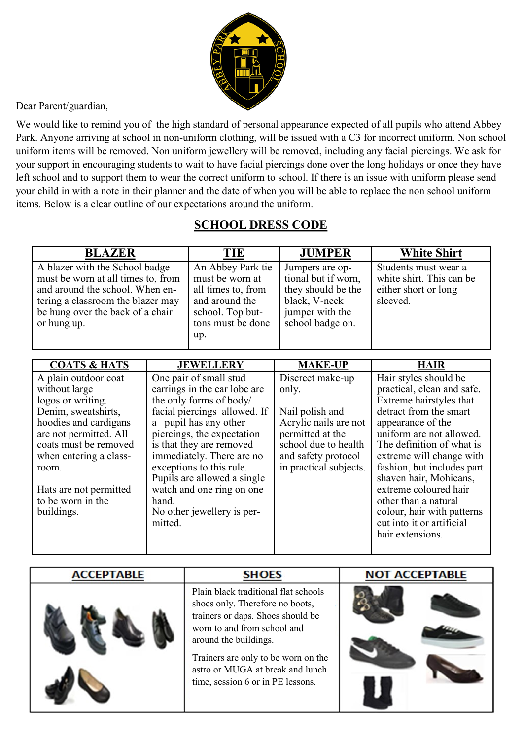

Dear Parent/guardian,

We would like to remind you of the high standard of personal appearance expected of all pupils who attend Abbey Park. Anyone arriving at school in non-uniform clothing, will be issued with a C3 for incorrect uniform. Non school uniform items will be removed. Non uniform jewellery will be removed, including any facial piercings. We ask for your support in encouraging students to wait to have facial piercings done over the long holidays or once they have left school and to support them to wear the correct uniform to school. If there is an issue with uniform please send your child in with a note in their planner and the date of when you will be able to replace the non school uniform items. Below is a clear outline of our expectations around the uniform.

## **SCHOOL DRESS CODE**

| <b>BLAZER</b>                                                                                                                                                                                   | TIE                                                                                                                          | <b>JUMPER</b>                                                                                                        | <b>White Shirt</b>                                                                   |
|-------------------------------------------------------------------------------------------------------------------------------------------------------------------------------------------------|------------------------------------------------------------------------------------------------------------------------------|----------------------------------------------------------------------------------------------------------------------|--------------------------------------------------------------------------------------|
| A blazer with the School badge<br>must be worn at all times to, from<br>and around the school. When en-<br>tering a classroom the blazer may<br>be hung over the back of a chair<br>or hung up. | An Abbey Park tie<br>must be worn at<br>all times to, from<br>and around the<br>school. Top but-<br>tons must be done<br>up. | Jumpers are op-<br>tional but if worn,<br>they should be the<br>black, V-neck<br>jumper with the<br>school badge on. | Students must wear a<br>white shirt. This can be<br>either short or long<br>sleeved. |

| <b>COATS &amp; HATS</b> | <b>JEWELLERY</b>             | <b>MAKE-UP</b>         | <b>HAIR</b>                |
|-------------------------|------------------------------|------------------------|----------------------------|
| A plain outdoor coat    | One pair of small stud       | Discreet make-up       | Hair styles should be      |
| without large           | earrings in the ear lobe are | only.                  | practical, clean and safe. |
| logos or writing.       | the only forms of body/      |                        | Extreme hairstyles that    |
| Denim, sweatshirts,     | facial piercings allowed. If | Nail polish and        | detract from the smart     |
| hoodies and cardigans   | a pupil has any other        | Acrylic nails are not  | appearance of the          |
| are not permitted. All  | piercings, the expectation   | permitted at the       | uniform are not allowed.   |
| coats must be removed   | is that they are removed     | school due to health   | The definition of what is  |
| when entering a class-  | immediately. There are no    | and safety protocol    | extreme will change with   |
| room.                   | exceptions to this rule.     | in practical subjects. | fashion, but includes part |
|                         | Pupils are allowed a single  |                        | shaven hair, Mohicans,     |
| Hats are not permitted  | watch and one ring on one    |                        | extreme coloured hair      |
| to be worn in the       | hand.                        |                        | other than a natural       |
| buildings.              | No other jewellery is per-   |                        | colour, hair with patterns |
|                         | mitted.                      |                        | cut into it or artificial  |
|                         |                              |                        | hair extensions.           |
|                         |                              |                        |                            |

| <b>ACCEPTABLE</b> | <b>SHOES</b>                                                                                                                                                                                                                                                                         | <b>NOT ACCEPTABLE</b> |
|-------------------|--------------------------------------------------------------------------------------------------------------------------------------------------------------------------------------------------------------------------------------------------------------------------------------|-----------------------|
|                   | Plain black traditional flat schools<br>shoes only. Therefore no boots,<br>trainers or daps. Shoes should be<br>worn to and from school and<br>around the buildings.<br>Trainers are only to be worn on the<br>astro or MUGA at break and lunch<br>time, session 6 or in PE lessons. |                       |